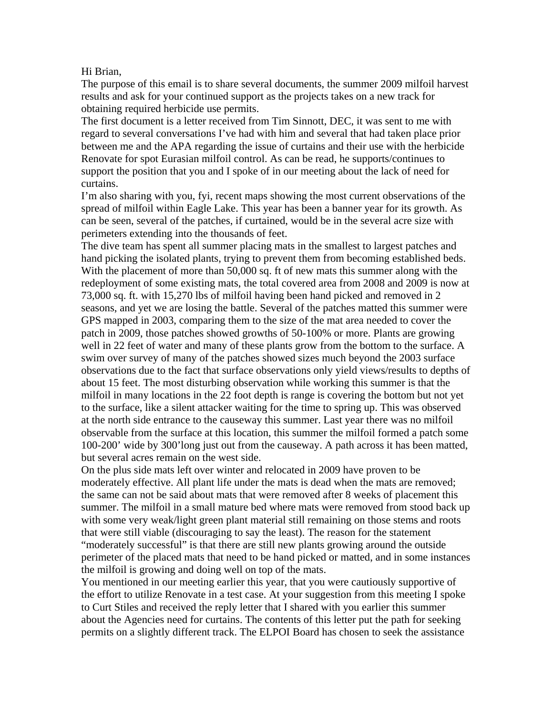Hi Brian,

The purpose of this email is to share several documents, the summer 2009 milfoil harvest results and ask for your continued support as the projects takes on a new track for obtaining required herbicide use permits.

The first document is a letter received from Tim Sinnott, DEC, it was sent to me with regard to several conversations I've had with him and several that had taken place prior between me and the APA regarding the issue of curtains and their use with the herbicide Renovate for spot Eurasian milfoil control. As can be read, he supports/continues to support the position that you and I spoke of in our meeting about the lack of need for curtains.

I'm also sharing with you, fyi, recent maps showing the most current observations of the spread of milfoil within Eagle Lake. This year has been a banner year for its growth. As can be seen, several of the patches, if curtained, would be in the several acre size with perimeters extending into the thousands of feet.

The dive team has spent all summer placing mats in the smallest to largest patches and hand picking the isolated plants, trying to prevent them from becoming established beds. With the placement of more than 50,000 sq. ft of new mats this summer along with the redeployment of some existing mats, the total covered area from 2008 and 2009 is now at 73,000 sq. ft. with 15,270 lbs of milfoil having been hand picked and removed in 2 seasons, and yet we are losing the battle. Several of the patches matted this summer were GPS mapped in 2003, comparing them to the size of the mat area needed to cover the patch in 2009, those patches showed growths of 50-100% or more. Plants are growing well in 22 feet of water and many of these plants grow from the bottom to the surface. A swim over survey of many of the patches showed sizes much beyond the 2003 surface observations due to the fact that surface observations only yield views/results to depths of about 15 feet. The most disturbing observation while working this summer is that the milfoil in many locations in the 22 foot depth is range is covering the bottom but not yet to the surface, like a silent attacker waiting for the time to spring up. This was observed at the north side entrance to the causeway this summer. Last year there was no milfoil observable from the surface at this location, this summer the milfoil formed a patch some 100-200' wide by 300'long just out from the causeway. A path across it has been matted, but several acres remain on the west side.

On the plus side mats left over winter and relocated in 2009 have proven to be moderately effective. All plant life under the mats is dead when the mats are removed; the same can not be said about mats that were removed after 8 weeks of placement this summer. The milfoil in a small mature bed where mats were removed from stood back up with some very weak/light green plant material still remaining on those stems and roots that were still viable (discouraging to say the least). The reason for the statement "moderately successful" is that there are still new plants growing around the outside perimeter of the placed mats that need to be hand picked or matted, and in some instances the milfoil is growing and doing well on top of the mats.

You mentioned in our meeting earlier this year, that you were cautiously supportive of the effort to utilize Renovate in a test case. At your suggestion from this meeting I spoke to Curt Stiles and received the reply letter that I shared with you earlier this summer about the Agencies need for curtains. The contents of this letter put the path for seeking permits on a slightly different track. The ELPOI Board has chosen to seek the assistance